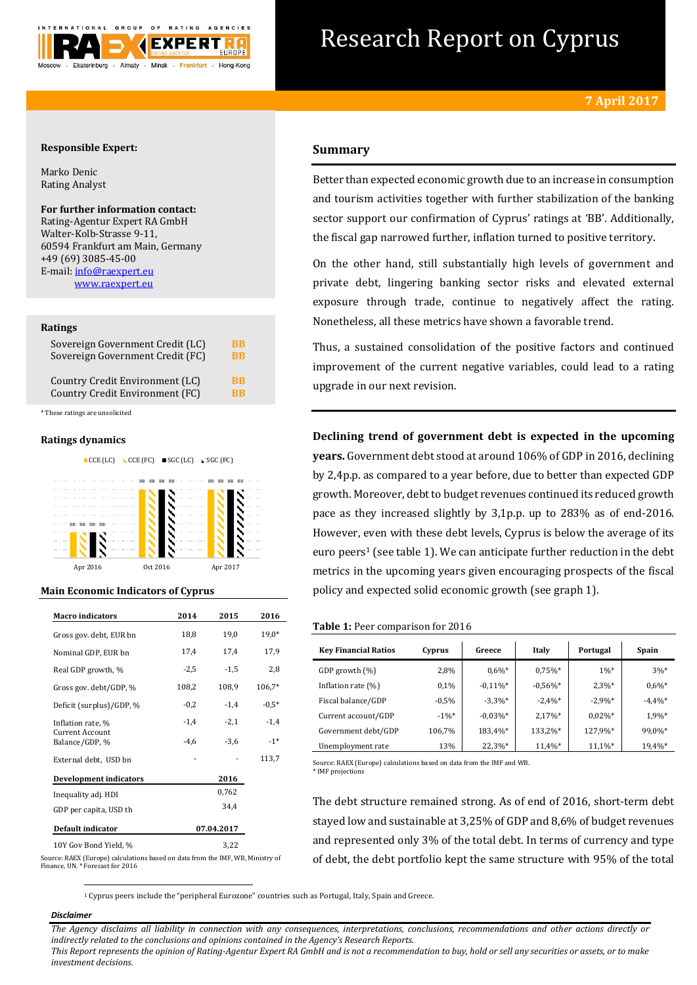

# Research Report on Cyprus

## **Responsible Expert:**

Marko Denic Rating Analyst

## **For further information contact:**

Rating-Agentur Expert RA GmbH Walter-Kolb-Strasse 9-11, 60594 Frankfurt am Main, Germany +49 (69) 3085-45-00 E-mail[: info@raexpert.eu](mailto:info@raexpert.eu) [www.raexpert.eu](http://raexpert.eu/)

### **Ratings**

| Sovereign Government Credit (LC) | <b>BB</b> |
|----------------------------------|-----------|
| Sovereign Government Credit (FC) | <b>BB</b> |
| Country Credit Environment (LC)  | <b>BB</b> |
| Country Credit Environment (FC)  | <b>RR</b> |

\* These ratings are unsolicited

## **Ratings dynamics**





# **Main Economic Indicators of Cyprus**

| <b>Macro</b> indicators           | 2014       | 2015   | 2016     |
|-----------------------------------|------------|--------|----------|
| Gross gov. debt, EUR bn           | 18,8       | 19,0   | $19,0*$  |
| Nominal GDP, EUR bn               | 17,4       | 17,4   | 17,9     |
| Real GDP growth, %                | $-2,5$     | $-1,5$ | 2,8      |
| Gross gov. debt/GDP, %            | 108,2      | 108,9  | $106.7*$ |
| Deficit (surplus)/GDP, %          | $-0,2$     | $-1,4$ | $-0.5*$  |
| Inflation rate, %                 | $-1,4$     | $-2,1$ | $-1,4$   |
| Current Account<br>Balance/GDP, % | $-4,6$     | $-3,6$ | $-1*$    |
| External debt, USD bn             |            |        | 113,7    |
| <b>Development indicators</b>     |            | 2016   |          |
| Inequality adj. HDI               |            | 0,762  |          |
| GDP per capita, USD th            |            | 34.4   |          |
| <b>Default indicator</b>          | 07.04.2017 |        |          |
| 10Y Gov Bond Yield, %             |            |        |          |

# **Summary**

Better than expected economic growth due to an increase in consumption and tourism activities together with further stabilization of the banking sector support our confirmation of Cyprus' ratings at 'BB'. Additionally, the fiscal gap narrowed further, inflation turned to positive territory.

On the other hand, still substantially high levels of government and private debt, lingering banking sector risks and elevated external exposure through trade, continue to negatively affect the rating. Nonetheless, all these metrics have shown a favorable trend.

Thus, a sustained consolidation of the positive factors and continued improvement of the current negative variables, could lead to a rating upgrade in our next revision.

**Declining trend of government debt is expected in the upcoming years.** Government debt stood at around 106% of GDP in 2016, declining by 2,4p.p. as compared to a year before, due to better than expected GDP growth. Moreover, debt to budget revenues continued its reduced growth pace as they increased slightly by 3,1p.p. up to 283% as of end-2016. However, even with these debt levels, Cyprus is below the average of its euro peers<sup>1</sup> (see table 1). We can anticipate further reduction in the debt metrics in the upcoming years given encouraging prospects of the fiscal policy and expected solid economic growth (see graph 1).

#### **Table 1:** Peer comparison for 2016

| <b>Key Financial Ratios</b> | Cyprus   | Greece      | Italy      | Portugal   | Spain      |
|-----------------------------|----------|-------------|------------|------------|------------|
| GDP growth (%)              | 2,8%     | $0.6\%$ *   | $0.75\%$ * | $1\%*$     | $3%$ *     |
| Inflation rate $(\%)$       | 0.1%     | $-0.11\%$ * | $-0.56%$ * | $2.3\%*$   | $0.6\%*$   |
| Fiscal balance/GDP          | $-0.5%$  | $-3.3\%*$   | $-2.4\%$ * | $-2.9\%$ * | $-4.4\%$ * |
| Current account/GDP         | $-1\%$ * | $-0.03\%$ * | $2.17\%$ * | $0.02\%$ * | 1,9%*      |
| Government debt/GDP         | 106,7%   | 183,4%*     | 133,2%*    | 127,9%*    | 99,0%*     |
| Unemployment rate           | 13%      | $22.3\%*$   | 11,4%*     | 11,1%*     | 19,4%*     |

Source: RAEX (Europe) calculations based on data from the IMF and WB. \* IMF projections

The debt structure remained strong. As of end of 2016, short-term debt stayed low and sustainable at 3,25% of GDP and 8,6% of budget revenues and represented only 3% of the total debt. In terms of currency and type of debt, the debt portfolio kept the same structure with 95% of the total

Source: RAEX (Europe) calculations based on data from the IMF, WB, Ministry of Finance, UN. \* Forecast for 2016

<sup>1</sup> Cyprus peers include the "peripheral Eurozone" countries such as Portugal, Italy, Spain and Greece.

# *Disclaimer*

**.** 

*The Agency disclaims all liability in connection with any consequences, interpretations, conclusions, recommendations and other actions directly or indirectly related to the conclusions and opinions contained in the Agency's Research Reports.*

*This Report represents the opinion of Rating-Agentur Expert RA GmbH and is not a recommendation to buy, hold or sell any securities or assets, or to make investment decisions.*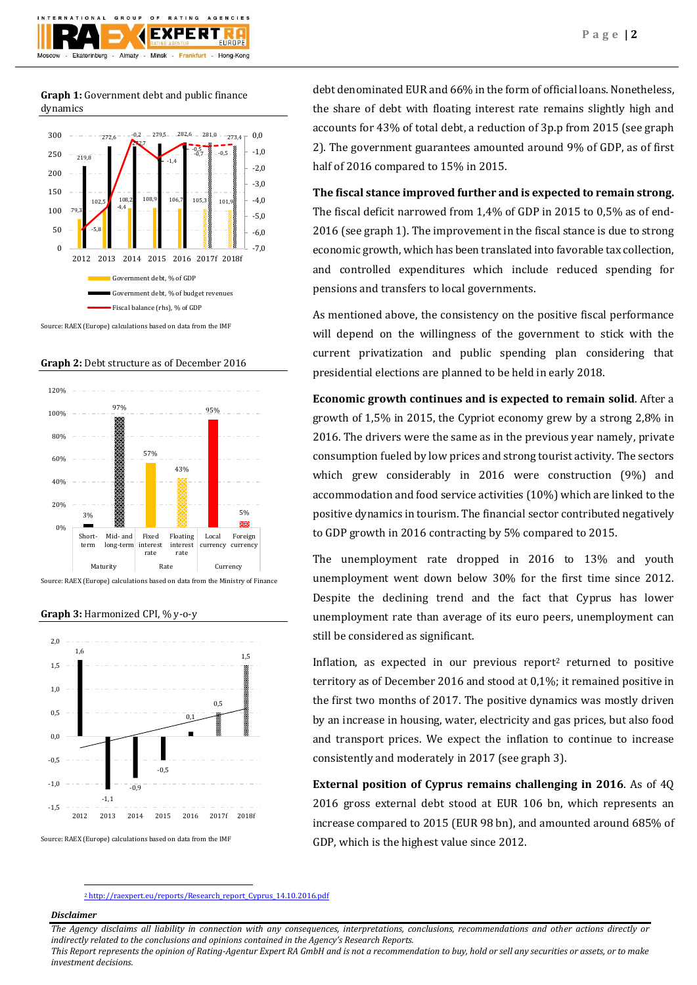

**Graph 1:** Government debt and public finance dynamics



Source: RAEX (Europe) calculations based on data from the IMF

**Graph 2:** Debt structure as of December 2016







#### **Graph 3:** Harmonized CPI, % y-o-y

debt denominated EUR and 66% in the form of official loans. Nonetheless, the share of debt with floating interest rate remains slightly high and accounts for 43% of total debt, a reduction of 3p.p from 2015 (see graph 2). The government guarantees amounted around 9% of GDP, as of first half of 2016 compared to 15% in 2015.

**The fiscal stance improved further and is expected to remain strong.** 

The fiscal deficit narrowed from 1,4% of GDP in 2015 to 0,5% as of end-2016 (see graph 1). The improvement in the fiscal stance is due to strong economic growth, which has been translated into favorable tax collection, and controlled expenditures which include reduced spending for pensions and transfers to local governments.

As mentioned above, the consistency on the positive fiscal performance will depend on the willingness of the government to stick with the current privatization and public spending plan considering that presidential elections are planned to be held in early 2018.

**Economic growth continues and is expected to remain solid**. After a growth of 1,5% in 2015, the Cypriot economy grew by a strong 2,8% in 2016. The drivers were the same as in the previous year namely, private consumption fueled by low prices and strong tourist activity. The sectors which grew considerably in 2016 were construction (9%) and accommodation and food service activities (10%) which are linked to the positive dynamics in tourism. The financial sector contributed negatively to GDP growth in 2016 contracting by 5% compared to 2015.

The unemployment rate dropped in 2016 to 13% and youth unemployment went down below 30% for the first time since 2012. Despite the declining trend and the fact that Cyprus has lower unemployment rate than average of its euro peers, unemployment can still be considered as significant.

Inflation, as expected in our previous report<sup>2</sup> returned to positive territory as of December 2016 and stood at 0,1%; it remained positive in the first two months of 2017. The positive dynamics was mostly driven by an increase in housing, water, electricity and gas prices, but also food and transport prices. We expect the inflation to continue to increase consistently and moderately in 2017 (see graph 3).

**External position of Cyprus remains challenging in 2016**. As of 4Q 2016 gross external debt stood at EUR 106 bn, which represents an increase compared to 2015 (EUR 98 bn), and amounted around 685% of GDP, which is the highest value since 2012.

<sup>2</sup> [http://raexpert.eu/reports/Research\\_report\\_Cyprus\\_14.10.2016.pdf](http://raexpert.eu/reports/Research_report_Cyprus_14.10.2016.pdf)

# *Disclaimer*

**.** 

*The Agency disclaims all liability in connection with any consequences, interpretations, conclusions, recommendations and other actions directly or indirectly related to the conclusions and opinions contained in the Agency's Research Reports. This Report represents the opinion of Rating-Agentur Expert RA GmbH and is not a recommendation to buy, hold or sell any securities or assets, or to make* 

*investment decisions.*